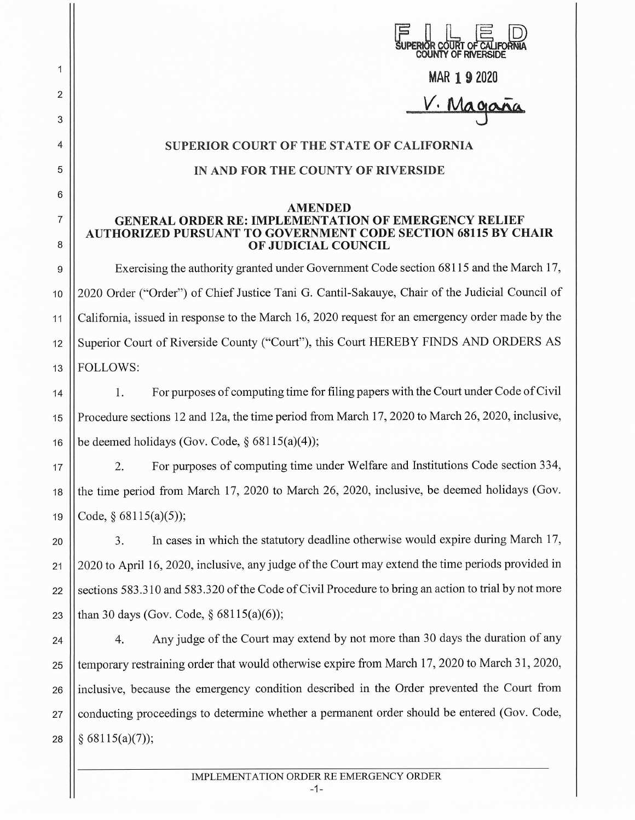|        | ERIOR COURT OF CA<br><b>COUNTY OF RIVERSIDE</b>                                                                                                            |
|--------|------------------------------------------------------------------------------------------------------------------------------------------------------------|
| 1      | MAR 192020                                                                                                                                                 |
| 2      | V. Magaña                                                                                                                                                  |
| 3      |                                                                                                                                                            |
| 4      | <b>SUPERIOR COURT OF THE STATE OF CALIFORNIA</b>                                                                                                           |
| 5      | IN AND FOR THE COUNTY OF RIVERSIDE                                                                                                                         |
| 6      | AMENDED                                                                                                                                                    |
| 7<br>8 | <b>GENERAL ORDER RE: IMPLEMENTATION OF EMERGENCY RELIEF</b><br><b>AUTHORIZED PURSUANT TO GOVERNMENT CODE SECTION 68115 BY CHAIR</b><br>OF JUDICIAL COUNCIL |
| 9      | Exercising the authority granted under Government Code section 68115 and the March 17,                                                                     |
| 10     | 2020 Order ("Order") of Chief Justice Tani G. Cantil-Sakauye, Chair of the Judicial Council of                                                             |
| 11     | California, issued in response to the March 16, 2020 request for an emergency order made by the                                                            |
| 12     | Superior Court of Riverside County ("Court"), this Court HEREBY FINDS AND ORDERS AS                                                                        |
| 13     | <b>FOLLOWS:</b>                                                                                                                                            |
| 14     | For purposes of computing time for filing papers with the Court under Code of Civil<br>1.                                                                  |
| 15     | Procedure sections 12 and 12a, the time period from March 17, 2020 to March 26, 2020, inclusive,                                                           |
| 16     | be deemed holidays (Gov. Code, $\S$ 68115(a)(4));                                                                                                          |
| 17     | For purposes of computing time under Welfare and Institutions Code section 334,<br>2.                                                                      |
| 18     | the time period from March 17, 2020 to March 26, 2020, inclusive, be deemed holidays (Gov.                                                                 |
| 19     | Code, § 68115(a)(5));                                                                                                                                      |
| 20     | In cases in which the statutory deadline otherwise would expire during March 17,<br>3.                                                                     |
| 21     | 2020 to April 16, 2020, inclusive, any judge of the Court may extend the time periods provided in                                                          |
| 22     | sections 583.310 and 583.320 of the Code of Civil Procedure to bring an action to trial by not more                                                        |
| 23     | than 30 days (Gov. Code, $\S$ 68115(a)(6));                                                                                                                |
| 24     | Any judge of the Court may extend by not more than 30 days the duration of any<br>4.                                                                       |
| 25     | temporary restraining order that would otherwise expire from March 17, 2020 to March 31, 2020,                                                             |
| 26     | inclusive, because the emergency condition described in the Order prevented the Court from                                                                 |
| 27     | conducting proceedings to determine whether a permanent order should be entered (Gov. Code,                                                                |
| 28     | § 68115(a)(7));                                                                                                                                            |
|        |                                                                                                                                                            |